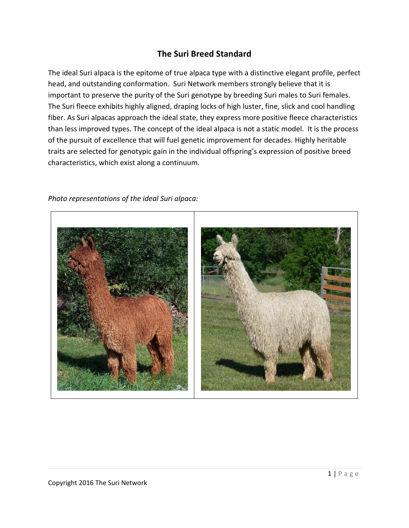## **The Suri Breed Standard**

The ideal Suri alpaca is the epitome of true alpaca type with a distinctive elegant profile, perfect head, and outstanding conformation. Suri Network members strongly believe that it is important to preserve the purity of the Suri genotype by breeding Suri males to Suri females. The Suri fleece exhibits highly aligned, draping locks of high luster, fine, slick and cool handling fiber. As Suri alpacas approach the ideal state, they express more positive fleece characteristics than less improved types. The concept of the ideal alpaca is not a static model. It is the process of the pursuit of excellence that will fuel genetic improvement for decades. Highly heritable traits are selected for genotypic gain in the individual offspring's expression of positive breed characteristics, which exist along a continuum.

## *Photo representations of the ideal Suri alpaca:*

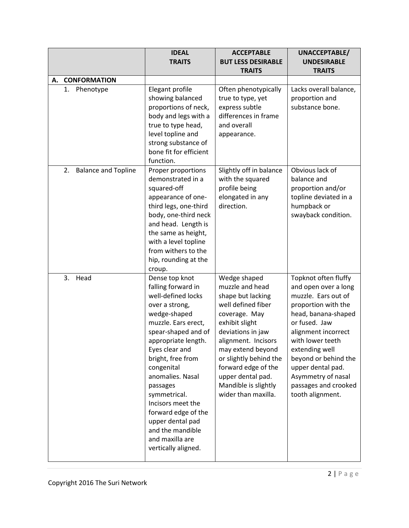|                                  | <b>IDEAL</b><br><b>TRAITS</b>                                                                                                                                                                                                                                                                                                                                                                        | <b>ACCEPTABLE</b><br><b>BUT LESS DESIRABLE</b><br><b>TRAITS</b>                                                                                                                                                                                                                                     | UNACCEPTABLE/<br><b>UNDESIRABLE</b><br><b>TRAITS</b>                                                                                                                                                                                                                                                           |
|----------------------------------|------------------------------------------------------------------------------------------------------------------------------------------------------------------------------------------------------------------------------------------------------------------------------------------------------------------------------------------------------------------------------------------------------|-----------------------------------------------------------------------------------------------------------------------------------------------------------------------------------------------------------------------------------------------------------------------------------------------------|----------------------------------------------------------------------------------------------------------------------------------------------------------------------------------------------------------------------------------------------------------------------------------------------------------------|
| <b>CONFORMATION</b><br>А.        |                                                                                                                                                                                                                                                                                                                                                                                                      |                                                                                                                                                                                                                                                                                                     |                                                                                                                                                                                                                                                                                                                |
| Phenotype<br>1.                  | Elegant profile<br>showing balanced<br>proportions of neck,<br>body and legs with a<br>true to type head,<br>level topline and<br>strong substance of<br>bone fit for efficient<br>function.                                                                                                                                                                                                         | Often phenotypically<br>true to type, yet<br>express subtle<br>differences in frame<br>and overall<br>appearance.                                                                                                                                                                                   | Lacks overall balance,<br>proportion and<br>substance bone.                                                                                                                                                                                                                                                    |
| 2.<br><b>Balance and Topline</b> | Proper proportions<br>demonstrated in a<br>squared-off<br>appearance of one-<br>third legs, one-third<br>body, one-third neck<br>and head. Length is<br>the same as height,<br>with a level topline<br>from withers to the<br>hip, rounding at the<br>croup.                                                                                                                                         | Slightly off in balance<br>with the squared<br>profile being<br>elongated in any<br>direction.                                                                                                                                                                                                      | Obvious lack of<br>balance and<br>proportion and/or<br>topline deviated in a<br>humpback or<br>swayback condition.                                                                                                                                                                                             |
| 3.<br>Head                       | Dense top knot<br>falling forward in<br>well-defined locks<br>over a strong,<br>wedge-shaped<br>muzzle. Ears erect,<br>spear-shaped and of<br>appropriate length.<br>Eyes clear and<br>bright, free from<br>congenital<br>anomalies. Nasal<br>passages<br>symmetrical.<br>Incisors meet the<br>forward edge of the<br>upper dental pad<br>and the mandible<br>and maxilla are<br>vertically aligned. | Wedge shaped<br>muzzle and head<br>shape but lacking<br>well defined fiber<br>coverage. May<br>exhibit slight<br>deviations in jaw<br>alignment. Incisors<br>may extend beyond<br>or slightly behind the<br>forward edge of the<br>upper dental pad.<br>Mandible is slightly<br>wider than maxilla. | Topknot often fluffy<br>and open over a long<br>muzzle. Ears out of<br>proportion with the<br>head, banana-shaped<br>or fused. Jaw<br>alignment incorrect<br>with lower teeth<br>extending well<br>beyond or behind the<br>upper dental pad.<br>Asymmetry of nasal<br>passages and crooked<br>tooth alignment. |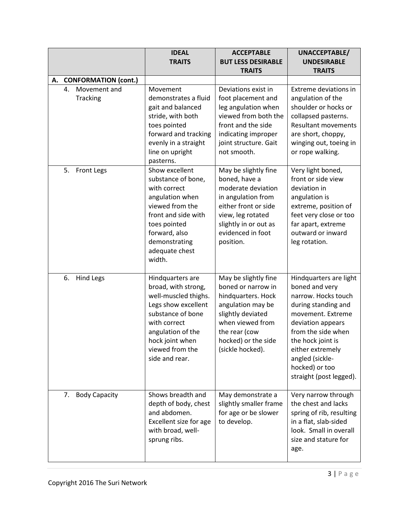|                                       | <b>IDEAL</b><br><b>TRAITS</b>                                                                                                                                                                            | <b>ACCEPTABLE</b><br><b>BUT LESS DESIRABLE</b>                                                                                                                                             | UNACCEPTABLE/<br><b>UNDESIRABLE</b>                                                                                                                                                                                                                             |
|---------------------------------------|----------------------------------------------------------------------------------------------------------------------------------------------------------------------------------------------------------|--------------------------------------------------------------------------------------------------------------------------------------------------------------------------------------------|-----------------------------------------------------------------------------------------------------------------------------------------------------------------------------------------------------------------------------------------------------------------|
|                                       |                                                                                                                                                                                                          | <b>TRAITS</b>                                                                                                                                                                              | <b>TRAITS</b>                                                                                                                                                                                                                                                   |
| <b>CONFORMATION (cont.)</b><br>А.     |                                                                                                                                                                                                          |                                                                                                                                                                                            |                                                                                                                                                                                                                                                                 |
| Movement and<br>4.<br><b>Tracking</b> | Movement<br>demonstrates a fluid<br>gait and balanced<br>stride, with both<br>toes pointed<br>forward and tracking<br>evenly in a straight<br>line on upright<br>pasterns.                               | Deviations exist in<br>foot placement and<br>leg angulation when<br>viewed from both the<br>front and the side<br>indicating improper<br>joint structure. Gait<br>not smooth.              | Extreme deviations in<br>angulation of the<br>shoulder or hocks or<br>collapsed pasterns.<br><b>Resultant movements</b><br>are short, choppy,<br>winging out, toeing in<br>or rope walking.                                                                     |
| 5.<br>Front Legs                      | Show excellent<br>substance of bone,<br>with correct<br>angulation when<br>viewed from the<br>front and side with<br>toes pointed<br>forward, also<br>demonstrating<br>adequate chest<br>width.          | May be slightly fine<br>boned, have a<br>moderate deviation<br>in angulation from<br>either front or side<br>view, leg rotated<br>slightly in or out as<br>evidenced in foot<br>position.  | Very light boned,<br>front or side view<br>deviation in<br>angulation is<br>extreme, position of<br>feet very close or too<br>far apart, extreme<br>outward or inward<br>leg rotation.                                                                          |
| 6.<br><b>Hind Legs</b>                | Hindquarters are<br>broad, with strong,<br>well-muscled thighs.<br>Legs show excellent<br>substance of bone<br>with correct<br>angulation of the<br>hock joint when<br>viewed from the<br>side and rear. | May be slightly fine<br>boned or narrow in<br>hindquarters. Hock<br>angulation may be<br>slightly deviated<br>when viewed from<br>the rear (cow<br>hocked) or the side<br>(sickle hocked). | Hindquarters are light<br>boned and very<br>narrow. Hocks touch<br>during standing and<br>movement. Extreme<br>deviation appears<br>from the side when<br>the hock joint is<br>either extremely<br>angled (sickle-<br>hocked) or too<br>straight (post legged). |
| <b>Body Capacity</b><br>7.            | Shows breadth and<br>depth of body, chest<br>and abdomen.<br>Excellent size for age<br>with broad, well-<br>sprung ribs.                                                                                 | May demonstrate a<br>slightly smaller frame<br>for age or be slower<br>to develop.                                                                                                         | Very narrow through<br>the chest and lacks<br>spring of rib, resulting<br>in a flat, slab-sided<br>look. Small in overall<br>size and stature for<br>age.                                                                                                       |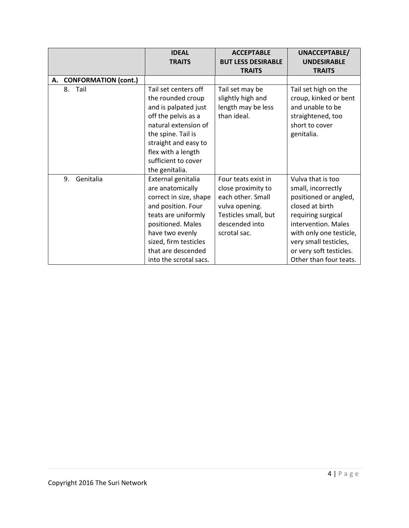|                         | <b>IDEAL</b>                                                                                                                                                                                                                   | <b>ACCEPTABLE</b>                                                                                                                          | UNACCEPTABLE/                                                                                                                                                                                                                             |
|-------------------------|--------------------------------------------------------------------------------------------------------------------------------------------------------------------------------------------------------------------------------|--------------------------------------------------------------------------------------------------------------------------------------------|-------------------------------------------------------------------------------------------------------------------------------------------------------------------------------------------------------------------------------------------|
|                         | <b>TRAITS</b>                                                                                                                                                                                                                  | <b>BUT LESS DESIRABLE</b>                                                                                                                  | <b>UNDESIRABLE</b>                                                                                                                                                                                                                        |
|                         |                                                                                                                                                                                                                                | <b>TRAITS</b>                                                                                                                              | <b>TRAITS</b>                                                                                                                                                                                                                             |
| A. CONFORMATION (cont.) |                                                                                                                                                                                                                                |                                                                                                                                            |                                                                                                                                                                                                                                           |
| Tail<br>8.              | Tail set centers off<br>the rounded croup<br>and is palpated just<br>off the pelvis as a<br>natural extension of<br>the spine. Tail is<br>straight and easy to<br>flex with a length<br>sufficient to cover<br>the genitalia.  | Tail set may be<br>slightly high and<br>length may be less<br>than ideal.                                                                  | Tail set high on the<br>croup, kinked or bent<br>and unable to be<br>straightened, too<br>short to cover<br>genitalia.                                                                                                                    |
| Genitalia<br>9.         | External genitalia<br>are anatomically<br>correct in size, shape<br>and position. Four<br>teats are uniformly<br>positioned. Males<br>have two evenly<br>sized, firm testicles<br>that are descended<br>into the scrotal sacs. | Four teats exist in<br>close proximity to<br>each other. Small<br>vulva opening.<br>Testicles small, but<br>descended into<br>scrotal sac. | Vulva that is too<br>small, incorrectly<br>positioned or angled,<br>closed at birth<br>requiring surgical<br>intervention. Males<br>with only one testicle,<br>very small testicles,<br>or very soft testicles.<br>Other than four teats. |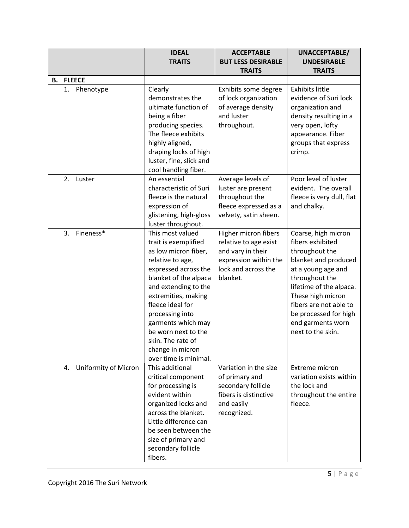|    |                            | <b>IDEAL</b><br><b>TRAITS</b>                                                                                                                                                                                                                                                                                                              | <b>ACCEPTABLE</b><br><b>BUT LESS DESIRABLE</b>                                                                                 | UNACCEPTABLE/<br><b>UNDESIRABLE</b>                                                                                                                                                                                                                                    |
|----|----------------------------|--------------------------------------------------------------------------------------------------------------------------------------------------------------------------------------------------------------------------------------------------------------------------------------------------------------------------------------------|--------------------------------------------------------------------------------------------------------------------------------|------------------------------------------------------------------------------------------------------------------------------------------------------------------------------------------------------------------------------------------------------------------------|
|    |                            |                                                                                                                                                                                                                                                                                                                                            | <b>TRAITS</b>                                                                                                                  | <b>TRAITS</b>                                                                                                                                                                                                                                                          |
| В. | <b>FLEECE</b>              |                                                                                                                                                                                                                                                                                                                                            |                                                                                                                                |                                                                                                                                                                                                                                                                        |
|    | 1.<br>Phenotype            | Clearly<br>demonstrates the<br>ultimate function of<br>being a fiber<br>producing species.<br>The fleece exhibits<br>highly aligned,<br>draping locks of high<br>luster, fine, slick and<br>cool handling fiber.                                                                                                                           | Exhibits some degree<br>of lock organization<br>of average density<br>and luster<br>throughout.                                | <b>Exhibits little</b><br>evidence of Suri lock<br>organization and<br>density resulting in a<br>very open, lofty<br>appearance. Fiber<br>groups that express<br>crimp.                                                                                                |
|    | 2.<br>Luster               | An essential<br>characteristic of Suri<br>fleece is the natural<br>expression of<br>glistening, high-gloss<br>luster throughout.                                                                                                                                                                                                           | Average levels of<br>luster are present<br>throughout the<br>fleece expressed as a<br>velvety, satin sheen.                    | Poor level of luster<br>evident. The overall<br>fleece is very dull, flat<br>and chalky.                                                                                                                                                                               |
|    | 3.<br>Fineness*            | This most valued<br>trait is exemplified<br>as low micron fiber,<br>relative to age,<br>expressed across the<br>blanket of the alpaca<br>and extending to the<br>extremities, making<br>fleece ideal for<br>processing into<br>garments which may<br>be worn next to the<br>skin. The rate of<br>change in micron<br>over time is minimal. | Higher micron fibers<br>relative to age exist<br>and vary in their<br>expression within the<br>lock and across the<br>blanket. | Coarse, high micron<br>fibers exhibited<br>throughout the<br>blanket and produced<br>at a young age and<br>throughout the<br>lifetime of the alpaca.<br>These high micron<br>fibers are not able to<br>be processed for high<br>end garments worn<br>next to the skin. |
|    | Uniformity of Micron<br>4. | This additional<br>critical component<br>for processing is<br>evident within<br>organized locks and<br>across the blanket.<br>Little difference can<br>be seen between the<br>size of primary and<br>secondary follicle<br>fibers.                                                                                                         | Variation in the size<br>of primary and<br>secondary follicle<br>fibers is distinctive<br>and easily<br>recognized.            | Extreme micron<br>variation exists within<br>the lock and<br>throughout the entire<br>fleece.                                                                                                                                                                          |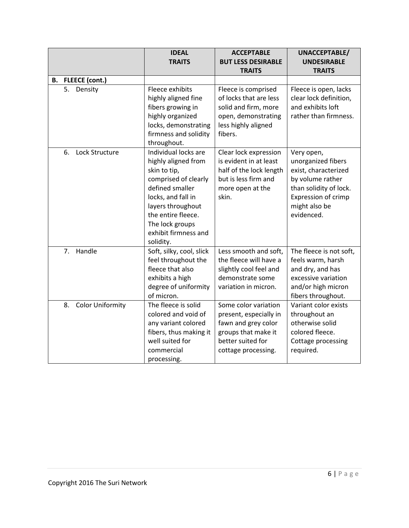|                               | <b>IDEAL</b>                                                                                                                                                                                                                    |                                                                                                                                          | UNACCEPTABLE/                                                                                                                                                |  |
|-------------------------------|---------------------------------------------------------------------------------------------------------------------------------------------------------------------------------------------------------------------------------|------------------------------------------------------------------------------------------------------------------------------------------|--------------------------------------------------------------------------------------------------------------------------------------------------------------|--|
|                               | <b>TRAITS</b>                                                                                                                                                                                                                   | <b>BUT LESS DESIRABLE</b>                                                                                                                | <b>UNDESIRABLE</b>                                                                                                                                           |  |
|                               |                                                                                                                                                                                                                                 | <b>TRAITS</b>                                                                                                                            | <b>TRAITS</b>                                                                                                                                                |  |
| B. FLEECE (cont.)             |                                                                                                                                                                                                                                 |                                                                                                                                          |                                                                                                                                                              |  |
| Density<br>5.                 | Fleece exhibits<br>highly aligned fine<br>fibers growing in<br>highly organized<br>locks, demonstrating<br>firmness and solidity<br>throughout.                                                                                 | Fleece is comprised<br>of locks that are less<br>solid and firm, more<br>open, demonstrating<br>less highly aligned<br>fibers.           | Fleece is open, lacks<br>clear lock definition,<br>and exhibits loft<br>rather than firmness.                                                                |  |
| Lock Structure<br>6.          | Individual locks are<br>highly aligned from<br>skin to tip,<br>comprised of clearly<br>defined smaller<br>locks, and fall in<br>layers throughout<br>the entire fleece.<br>The lock groups<br>exhibit firmness and<br>solidity. | Clear lock expression<br>is evident in at least<br>half of the lock length<br>but is less firm and<br>more open at the<br>skin.          | Very open,<br>unorganized fibers<br>exist, characterized<br>by volume rather<br>than solidity of lock.<br>Expression of crimp<br>might also be<br>evidenced. |  |
| Handle<br>7 <sub>1</sub>      | Soft, silky, cool, slick<br>feel throughout the<br>fleece that also<br>exhibits a high<br>degree of uniformity<br>of micron.                                                                                                    | Less smooth and soft,<br>the fleece will have a<br>slightly cool feel and<br>demonstrate some<br>variation in micron.                    | The fleece is not soft,<br>feels warm, harsh<br>and dry, and has<br>excessive variation<br>and/or high micron<br>fibers throughout.                          |  |
| <b>Color Uniformity</b><br>8. | The fleece is solid<br>colored and void of<br>any variant colored<br>fibers, thus making it<br>well suited for<br>commercial<br>processing.                                                                                     | Some color variation<br>present, especially in<br>fawn and grey color<br>groups that make it<br>better suited for<br>cottage processing. | Variant color exists<br>throughout an<br>otherwise solid<br>colored fleece.<br>Cottage processing<br>required.                                               |  |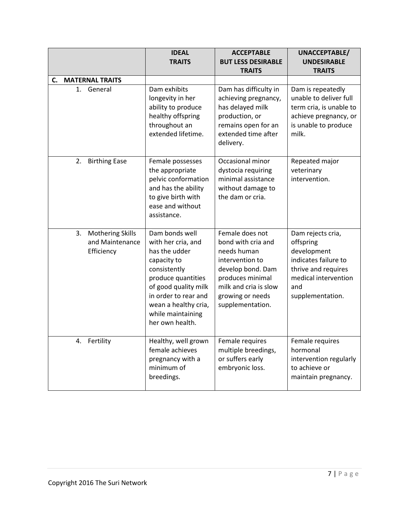|                                                                | <b>IDEAL</b><br><b>TRAITS</b>                                                                                                                                                                                              | <b>ACCEPTABLE</b><br><b>BUT LESS DESIRABLE</b><br><b>TRAITS</b>                                                                                                                   | UNACCEPTABLE/<br><b>UNDESIRABLE</b><br><b>TRAITS</b>                                                                                            |  |
|----------------------------------------------------------------|----------------------------------------------------------------------------------------------------------------------------------------------------------------------------------------------------------------------------|-----------------------------------------------------------------------------------------------------------------------------------------------------------------------------------|-------------------------------------------------------------------------------------------------------------------------------------------------|--|
| <b>MATERNAL TRAITS</b><br>C.                                   |                                                                                                                                                                                                                            |                                                                                                                                                                                   |                                                                                                                                                 |  |
| General<br>1.                                                  | Dam exhibits<br>longevity in her<br>ability to produce<br>healthy offspring<br>throughout an<br>extended lifetime.                                                                                                         | Dam has difficulty in<br>achieving pregnancy,<br>has delayed milk<br>production, or<br>remains open for an<br>extended time after<br>delivery.                                    | Dam is repeatedly<br>unable to deliver full<br>term cria, is unable to<br>achieve pregnancy, or<br>is unable to produce<br>milk.                |  |
| <b>Birthing Ease</b><br>2.                                     | Female possesses<br>the appropriate<br>pelvic conformation<br>and has the ability<br>to give birth with<br>ease and without<br>assistance.                                                                                 | Occasional minor<br>dystocia requiring<br>minimal assistance<br>without damage to<br>the dam or cria.                                                                             | Repeated major<br>veterinary<br>intervention.                                                                                                   |  |
| 3.<br><b>Mothering Skills</b><br>and Maintenance<br>Efficiency | Dam bonds well<br>with her cria, and<br>has the udder<br>capacity to<br>consistently<br>produce quantities<br>of good quality milk<br>in order to rear and<br>wean a healthy cria,<br>while maintaining<br>her own health. | Female does not<br>bond with cria and<br>needs human<br>intervention to<br>develop bond. Dam<br>produces minimal<br>milk and cria is slow<br>growing or needs<br>supplementation. | Dam rejects cria,<br>offspring<br>development<br>indicates failure to<br>thrive and requires<br>medical intervention<br>and<br>supplementation. |  |
| Fertility<br>4.                                                | Healthy, well grown<br>female achieves<br>pregnancy with a<br>minimum of<br>breedings.                                                                                                                                     | Female requires<br>multiple breedings,<br>or suffers early<br>embryonic loss.                                                                                                     | Female requires<br>hormonal<br>intervention regularly<br>to achieve or<br>maintain pregnancy.                                                   |  |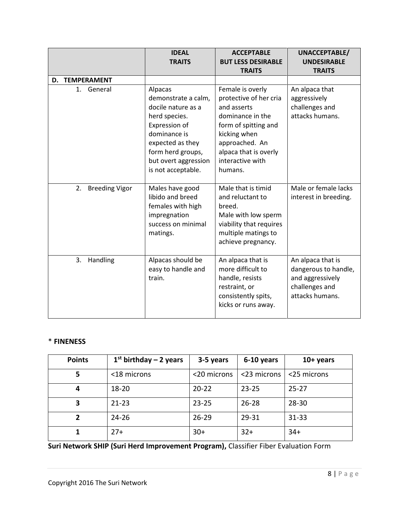|                             | <b>IDEAL</b><br><b>TRAITS</b>                                                                                                                                                                 | <b>ACCEPTABLE</b><br><b>BUT LESS DESIRABLE</b>                                                                                                                                                  | UNACCEPTABLE/<br><b>UNDESIRABLE</b>                                                                |  |
|-----------------------------|-----------------------------------------------------------------------------------------------------------------------------------------------------------------------------------------------|-------------------------------------------------------------------------------------------------------------------------------------------------------------------------------------------------|----------------------------------------------------------------------------------------------------|--|
|                             |                                                                                                                                                                                               | <b>TRAITS</b>                                                                                                                                                                                   | <b>TRAITS</b>                                                                                      |  |
| <b>D. TEMPERAMENT</b>       |                                                                                                                                                                                               |                                                                                                                                                                                                 |                                                                                                    |  |
| 1. General                  | Alpacas<br>demonstrate a calm,<br>docile nature as a<br>herd species.<br>Expression of<br>dominance is<br>expected as they<br>form herd groups,<br>but overt aggression<br>is not acceptable. | Female is overly<br>protective of her cria<br>and asserts<br>dominance in the<br>form of spitting and<br>kicking when<br>approached. An<br>alpaca that is overly<br>interactive with<br>humans. | An alpaca that<br>aggressively<br>challenges and<br>attacks humans.                                |  |
| 2.<br><b>Breeding Vigor</b> | Males have good<br>libido and breed<br>females with high<br>impregnation<br>success on minimal<br>matings.                                                                                    | Male that is timid<br>and reluctant to<br>breed.<br>Male with low sperm<br>viability that requires<br>multiple matings to<br>achieve pregnancy.                                                 | Male or female lacks<br>interest in breeding.                                                      |  |
| 3.<br>Handling              | Alpacas should be<br>easy to handle and<br>train.                                                                                                                                             | An alpaca that is<br>more difficult to<br>handle, resists<br>restraint, or<br>consistently spits,<br>kicks or runs away.                                                                        | An alpaca that is<br>dangerous to handle,<br>and aggressively<br>challenges and<br>attacks humans. |  |

## \* **FINENESS**

| <b>Points</b> | $1st$ birthday - 2 years | 3-5 years   | 6-10 years  | $10+$ years |
|---------------|--------------------------|-------------|-------------|-------------|
| 5             | <18 microns              | <20 microns | <23 microns | <25 microns |
| 4             | $18 - 20$                | $20 - 22$   | $23 - 25$   | $25 - 27$   |
| 3             | $21 - 23$                | $23 - 25$   | $26 - 28$   | $28 - 30$   |
| $\mathbf{2}$  | $24 - 26$                | $26 - 29$   | 29-31       | $31 - 33$   |
|               | $27+$                    | $30+$       | $32+$       | $34+$       |

**Suri Network SHIP (Suri Herd Improvement Program),** Classifier Fiber Evaluation Form